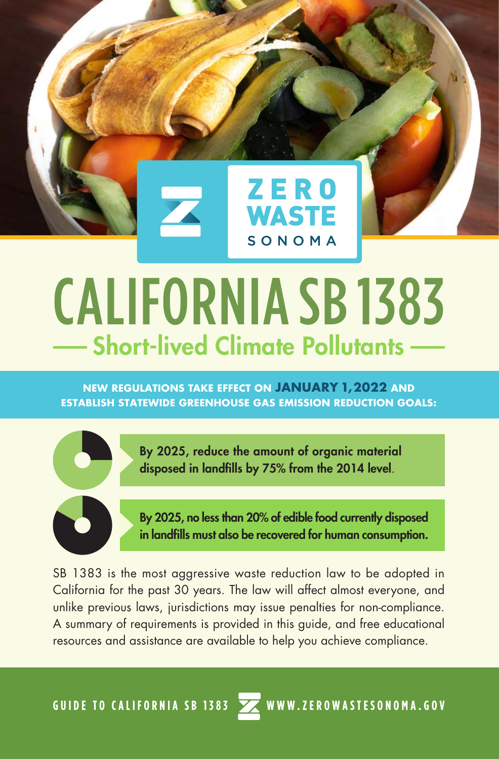

## CALIFORNIA SB 1383 Short-lived Climate Pollutants

**NEW REGULATIONS TAKE EFFECT ON JANUARY 1, 2022 AND ESTABLISH STATEWIDE GREENHOUSE GAS EMISSION REDUCTION GOALS:**



By 2025, reduce the amount of organic material disposed in landfills by 75% from the 2014 level.



By 2025, no less than 20% of edible food currently disposed in landfills must also be recovered for human consumption.

SB 1383 is the most aggressive waste reduction law to be adopted in California for the past 30 years. The law will affect almost everyone, and unlike previous laws, jurisdictions may issue penalties for non-compliance. A summary of requirements is provided in this guide, and free educational resources and assistance are available to help you achieve compliance.

GUIDE TO CALIFORNIA SB 1383 **WWW.ZEROWASTESONOMA.GOV**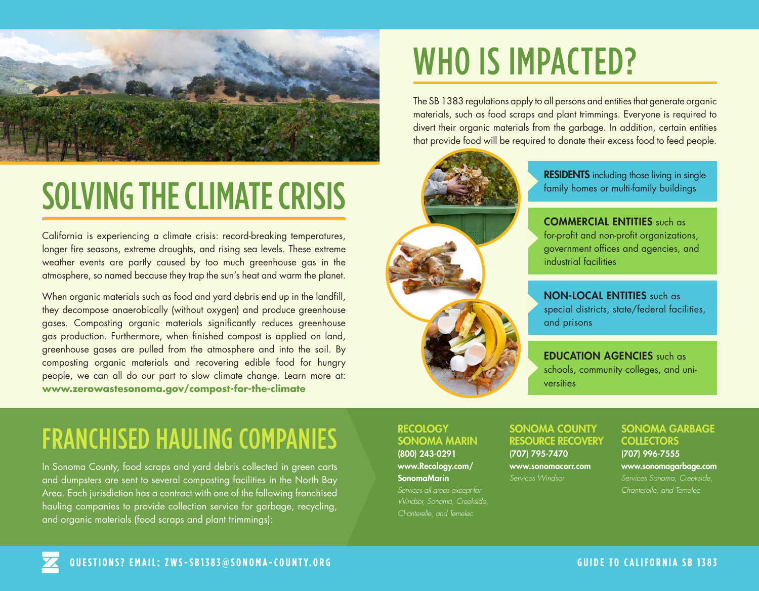

# SOLVING THE CLIMATE CRISIS

California is experiencing a climate crisis: record-breaking temperatures, longer fire seasons, extreme droughts, and rising sea levels. These extreme weather events are partly caused by too much greenhouse gas in the atmosphere, so named because they trap the sun's heat and warm the planet.

When organic materials such as food and yard debris end up in the landfill, they decompose anaerobically (without oxygen) and produce greenhouse gases. Composting organic materials significantly reduces greenhouse gas production. Furthermore, when finished compost is applied on land, greenhouse gases are pulled from the atmosphere and into the soil. By composting organic materials and recovering edible food for hungry people, we can all do our part to slow climate change. Learn more at: **www.zerowastesonoma.gov/compost-for-the-climate** 

# WHO IS IMPACTED?

The SB 1383 regulations apply to all persons and entities that generate organic materials, such as food scraps and plant trimmings. Everyone is required to divert their organic materials from the garbage. In addition, certain entities that provide food will be required to donate their excess food to feed people.



**RESIDENTS** including those living in singlefamily homes or multi-family buildings

COMMERCIAL ENTITIES such as for-profit and non-profit organizations, government offices and agencies, and industrial facilities

NON-LOCAL ENTITIES such as special districts, state/federal facilities, and prisons

EDUCATION AGENCIES such as schools, community colleges, and universities

#### FRANCHISED HAULING COMPANIES

In Sonoma County, food scraps and yard debris collected in green carts and dumpsters are sent to several composting facilities in the North Bay Area. Each jurisdiction has a contract with one of the following franchised hauling companies to provide collection service for garbage, recycling, and organic materials (food scraps and plant trimmings):

#### **RECOLOGY** SONOMA MARIN

(800) 243-0291 www.Recology.com/ SonomaMarin *Services all areas except for Chanterelle, and Temelec* 

#### SONOMA COUNTY RESOURCE RECOVERY (707) 795-7470

www.sonomacorr.com *Services Windsor*

#### SONOMA GARBAGE **COLLECTORS**

(707) 996-7555 www.sonomagarbage.com *Services Sonoma, Creekside,* 

*Chanterelle, and Temelec*

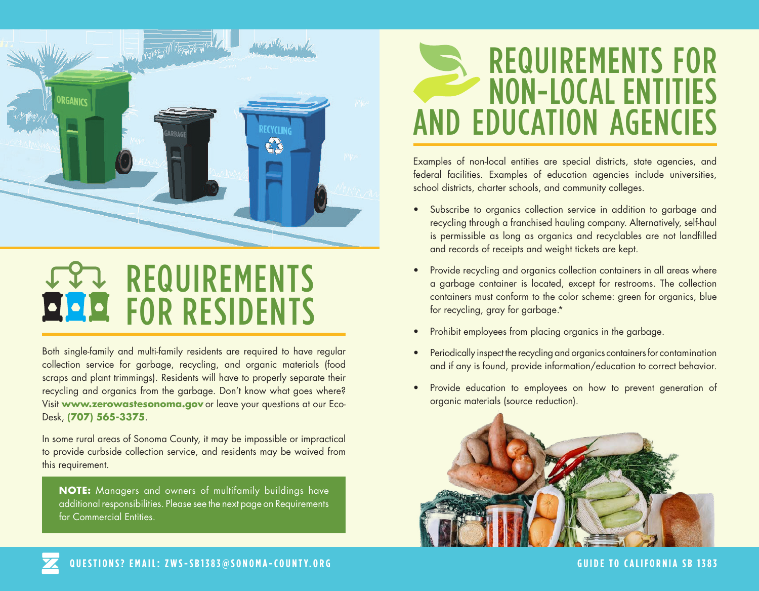

## REQUIREMENTS FOR RESIDENTS

Both single-family and multi-family residents are required to have regular collection service for garbage, recycling, and organic materials (food scraps and plant trimmings). Residents will have to properly separate their recycling and organics from the garbage. Don't know what goes where? Visit **www.zerowastesonoma.gov** or leave your questions at our Eco-Desk, **(707) 565-3375**.

In some rural areas of Sonoma County, it may be impossible or impractical to provide curbside collection service, and residents may be waived from this requirement.

**NOTE:** Managers and owners of multifamily buildings have additional responsibilities. Please see the next page on Requirements for Commercial Entities.

### REQUIREMENTS FOR NON-LOCAL ENTITIES AND EDUCATION AGENCIES

Examples of non-local entities are special districts, state agencies, and federal facilities. Examples of education agencies include universities, school districts, charter schools, and community colleges.

- Subscribe to organics collection service in addition to garbage and recycling through a franchised hauling company. Alternatively, self-haul is permissible as long as organics and recyclables are not landfilled and records of receipts and weight tickets are kept.
- Provide recycling and organics collection containers in all areas where a garbage container is located, except for restrooms. The collection containers must conform to the color scheme: green for organics, blue for recycling, gray for garbage.\*
- Prohibit employees from placing organics in the garbage.
- Periodically inspect the recycling and organics containers for contamination and if any is found, provide information/education to correct behavior.
- Provide education to employees on how to prevent generation of organic materials (source reduction).

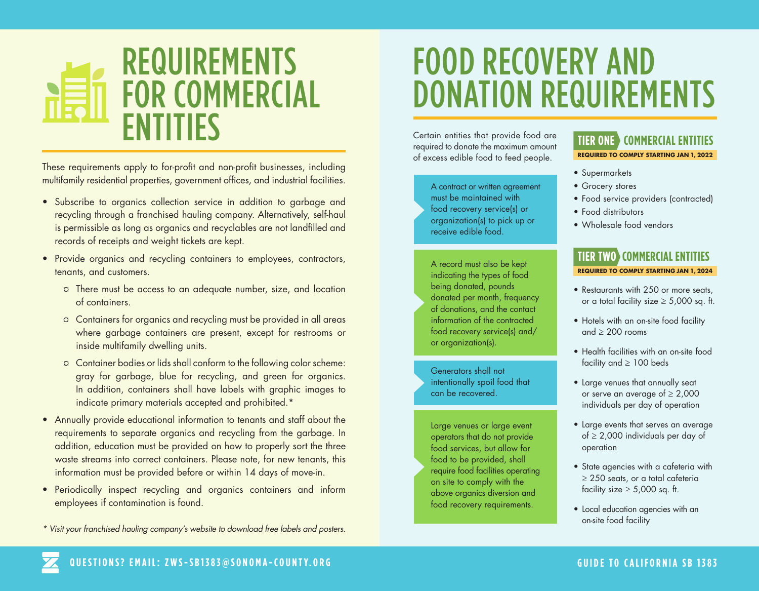### REQUIREMENTS FOR COMMERCIAL ENTITIES

These requirements apply to for-profit and non-profit businesses, including multifamily residential properties, government offices, and industrial facilities.

- Subscribe to organics collection service in addition to garbage and recycling through a franchised hauling company. Alternatively, self-haul is permissible as long as organics and recyclables are not landfilled and records of receipts and weight tickets are kept.
- Provide organics and recycling containers to employees, contractors, tenants, and customers.
	- ¤ There must be access to an adequate number, size, and location of containers.
	- ¤ Containers for organics and recycling must be provided in all areas where garbage containers are present, except for restrooms or inside multifamily dwelling units.
	- ¤ Container bodies or lids shall conform to the following color scheme: gray for garbage, blue for recycling, and green for organics. In addition, containers shall have labels with graphic images to indicate primary materials accepted and prohibited.\*
- Annually provide educational information to tenants and staff about the requirements to separate organics and recycling from the garbage. In addition, education must be provided on how to properly sort the three waste streams into correct containers. Please note, for new tenants, this information must be provided before or within 14 days of move-in.
- Periodically inspect recycling and organics containers and inform employees if contamination is found.
- *\* Visit your franchised hauling company's website to download free labels and posters.*

## FOOD RECOVERY AND DONATION REQUIREMENTS

Certain entities that provide food are required to donate the maximum amount of excess edible food to feed people.

> A contract or written agreement must be maintained with food recovery service(s) or organization(s) to pick up or receive edible food.

A record must also be kept indicating the types of food being donated, pounds donated per month, frequency of donations, and the contact information of the contracted food recovery service(s) and/ or organization(s).

Generators shall not intentionally spoil food that can be recovered.

Large venues or large event operators that do not provide food services, but allow for food to be provided, shall require food facilities operating on site to comply with the above organics diversion and food recovery requirements.

#### **TIER ONE COMMERCIAL ENTITIES**

**REQUIRED TO COMPLY STARTING JAN 1, 2022**

- Supermarkets
- Grocery stores
- Food service providers (contracted)
- Food distributors
- Wholesale food vendors

#### **TIER TWO COMMERCIAL ENTITIES REQUIRED TO COMPLY STARTING JAN 1, 2024**

- Restaurants with 250 or more seats, or a total facility size  $\geq 5,000$  sq. ft.
- Hotels with an on-site food facility and  $> 200$  rooms
- Health facilities with an on-site food facility and  $\geq 100$  beds
- Large venues that annually seat or serve an average of  $\geq 2,000$ individuals per day of operation
- Large events that serves an average of ≥ 2,000 individuals per day of operation
- State agencies with a cafeteria with ≥ 250 seats, or a total cafeteria facility size  $\geq 5,000$  sq. ft.
- Local education agencies with an on-site food facility